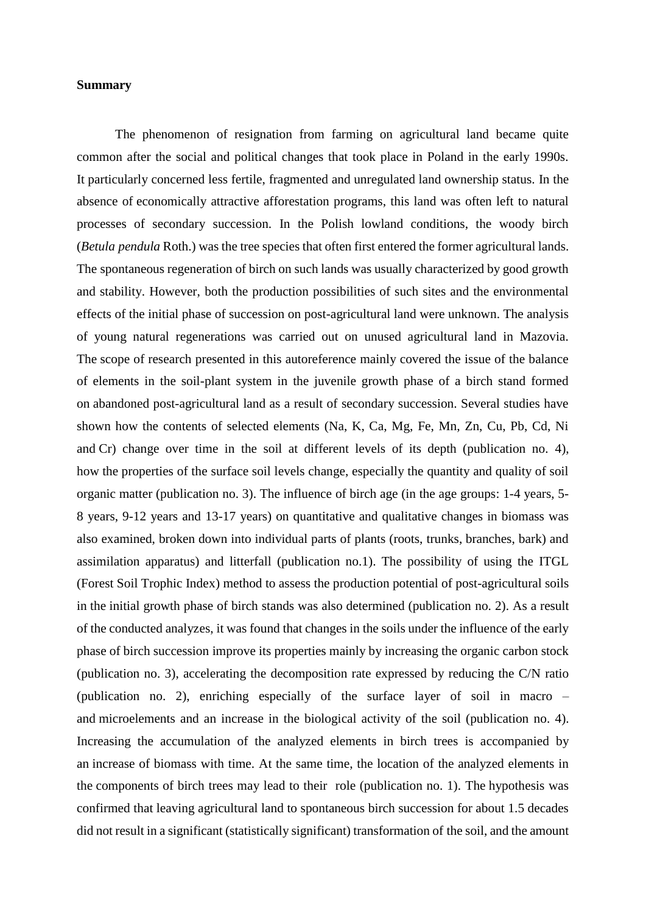## **Summary**

The phenomenon of resignation from farming on agricultural land became quite common after the social and political changes that took place in Poland in the early 1990s. It particularly concerned less fertile, fragmented and unregulated land ownership status. In the absence of economically attractive afforestation programs, this land was often left to natural processes of secondary succession. In the Polish lowland conditions, the woody birch (*Betula pendula* Roth.) was the tree species that often first entered the former agricultural lands. The spontaneous regeneration of birch on such lands was usually characterized by good growth and stability. However, both the production possibilities of such sites and the environmental effects of the initial phase of succession on post-agricultural land were unknown. The analysis of young natural regenerations was carried out on unused agricultural land in Mazovia. The scope of research presented in this autoreference mainly covered the issue of the balance of elements in the soil-plant system in the juvenile growth phase of a birch stand formed on abandoned post-agricultural land as a result of secondary succession. Several studies have shown how the contents of selected elements (Na, K, Ca, Mg, Fe, Mn, Zn, Cu, Pb, Cd, Ni and Cr) change over time in the soil at different levels of its depth (publication no. 4), how the properties of the surface soil levels change, especially the quantity and quality of soil organic matter (publication no. 3). The influence of birch age (in the age groups: 1-4 years, 5- 8 years, 9-12 years and 13-17 years) on quantitative and qualitative changes in biomass was also examined, broken down into individual parts of plants (roots, trunks, branches, bark) and assimilation apparatus) and litterfall (publication no.1). The possibility of using the ITGL (Forest Soil Trophic Index) method to assess the production potential of post-agricultural soils in the initial growth phase of birch stands was also determined (publication no. 2). As a result of the conducted analyzes, it was found that changes in the soils under the influence of the early phase of birch succession improve its properties mainly by increasing the organic carbon stock (publication no. 3), accelerating the decomposition rate expressed by reducing the C/N ratio (publication no. 2), enriching especially of the surface layer of soil in macro – and microelements and an increase in the biological activity of the soil (publication no. 4). Increasing the accumulation of the analyzed elements in birch trees is accompanied by an increase of biomass with time. At the same time, the location of the analyzed elements in the components of birch trees may lead to their role (publication no. 1). The hypothesis was confirmed that leaving agricultural land to spontaneous birch succession for about 1.5 decades did not result in a significant (statistically significant) transformation of the soil, and the amount